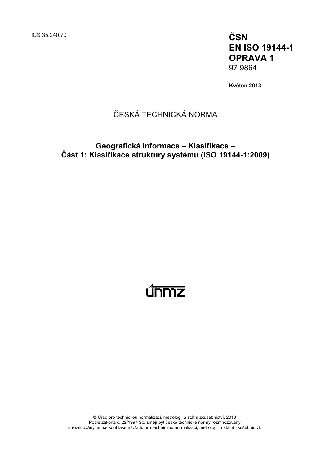ICS 35.240.70 **ČSN** 

**EN ISO 19144-1 OPRAVA 1**  97 9864

**Květen 2013** 

## ČESKÁ TECHNICKÁ NORMA

### **Geografická informace – Klasifikace – Část 1: Klasifikace struktury systému (ISO 19144-1:2009)**

# <u>únmz</u>

© Úřad pro technickou normalizaci, metrologii a státní zkušebnictví, 2013 Podle zákona č. 22/1997 Sb. smějí být české technické normy rozmnožovány a rozšiřovány jen se souhlasem Úřadu pro technickou normalizaci, metrologii a státní zkušebnictví.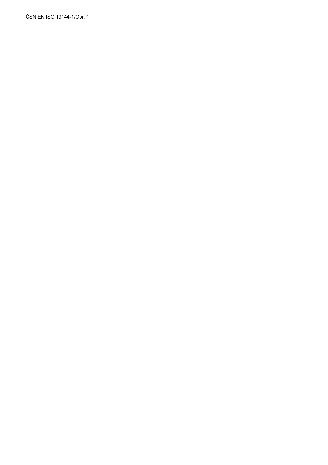ČSN EN ISO 19144-1/Opr. 1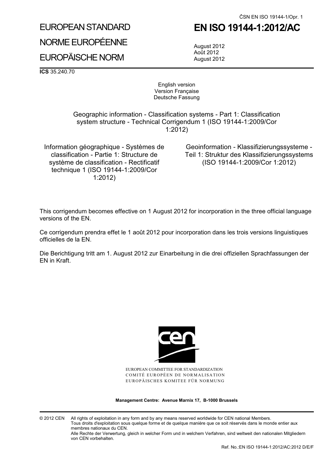ČSN EN ISO 19144-1/Opr. 1

#### EUROPEAN STANDARD

NORME EUROPÉENNE

## EUROPÄISCHE NORM

 **EN ISO 19144-1:2012/AC** 

 August 2012 Août 2012 August 2012

**ICS** 35.240.70

English version Version Française Deutsche Fassung

 Geographic information - Classification systems - Part 1: Classification system structure - Technical Corrigendum 1 (ISO 19144-1:2009/Cor 1:2012)

Information géographique - Systèmes de classification - Partie 1: Structure de système de classification - Rectificatif technique 1 (ISO 19144-1:2009/Cor 1:2012)

 Geoinformation - Klassifizierungssysteme - Teil 1: Struktur des Klassifizierungssystems (ISO 19144-1:2009/Cor 1:2012)

This corrigendum becomes effective on 1 August 2012 for incorporation in the three official language versions of the EN.

Ce corrigendum prendra effet le 1 août 2012 pour incorporation dans les trois versions linguistiques officielles de la EN.

Die Berichtigung tritt am 1. August 2012 zur Einarbeitung in die drei offiziellen Sprachfassungen der EN in Kraft.



EUROPEAN COMMITTEE FOR STANDARDIZATION COMITÉ EUROPÉEN DE NORMALISATION EUROPÄISCHES KOMITEE FÜR NORMUNG

**Management Centre: Avenue Marnix 17, B-1000 Brussels** 

© 2012 CEN All rights of exploitation in any form and by any means reserved worldwide for CEN national Members. Tous droits d'exploitation sous quelque forme et de quelque manière que ce soit réservés dans le monde entier aux membres nationaux du CEN. Alle Rechte der Verwertung, gleich in welcher Form und in welchem Verfahren, sind weltweit den nationalen Mitgliedern

von CEN vorbehalten.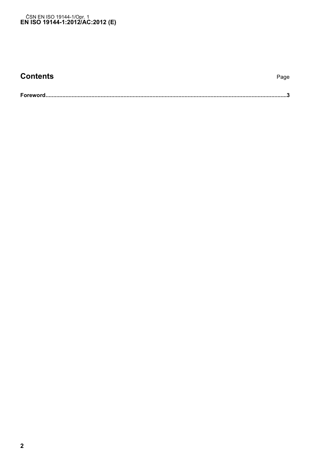## ČSN EN ISO 19144-1/Opr. 1<br>EN ISO 19144-1:2012/AC:2012 (E)

### **Contents**

#### Page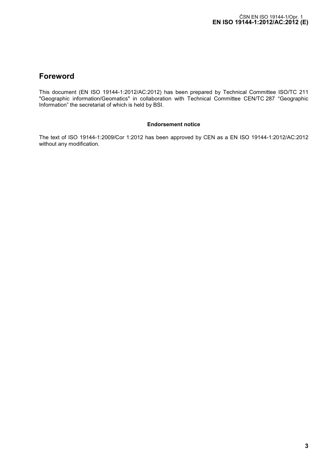#### **Foreword**

This document (EN ISO 19144-1:2012/AC:2012) has been prepared by Technical Committee ISO/TC 211 "Geographic information/Geomatics" in collaboration with Technical Committee CEN/TC 287 "Geographic Information" the secretariat of which is held by BSI.

#### **Endorsement notice**

The text of ISO 19144-1:2009/Cor 1:2012 has been approved by CEN as a EN ISO 19144-1:2012/AC:2012 without any modification.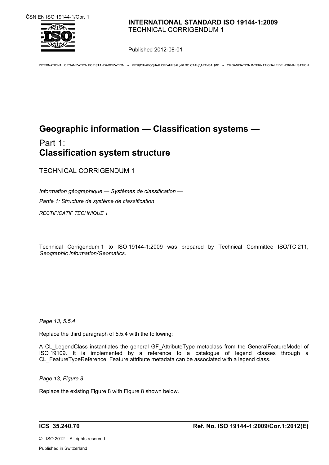

Published 2012-08-01

INTERNATIONAL ORGANIZATION FOR STANDARDIZATION · MEЖДУНАРОДНАЯ ОРГАНИЗАЦИЯ ПО СТАНДАРТИЗАЦИИ · ORGANISATION INTERNATIONALE DE NORMALISATION

## **Geographic information — Classification systems —**  Part 1:

## **Classification system structure**

TECHNICAL CORRIGENDUM 1

*Information géographique — Systèmes de classification — Partie 1: Structure de système de classification* 

*RECTIFICATIF TECHNIQUE 1*

Technical Corrigendum 1 to ISO 19144-1:2009 was prepared by Technical Committee ISO/TC 211, *Geographic information/Geomatics*.

 $\overline{a}$ 

*Page 13, 5.5.4* 

Replace the third paragraph of 5.5.4 with the following:

A CL LegendClass instantiates the general GF AttributeType metaclass from the GeneralFeatureModel of ISO 19109. It is implemented by a reference to a catalogue of legend classes through a CL\_FeatureTypeReference. Feature attribute metadata can be associated with a legend class.

*Page 13, Figure 8* 

Replace the existing Figure 8 with Figure 8 shown below.

©ISO 2012 – All rights reserved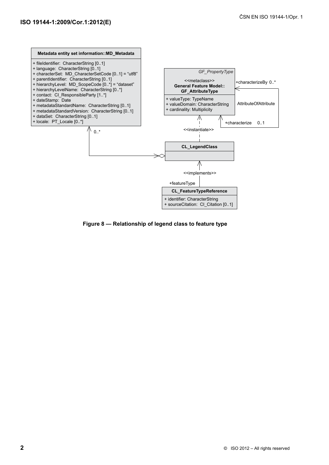

**Figure 8 — Relationship of legend class to feature type**